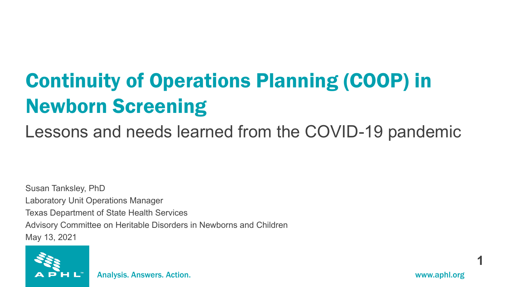## Continuity of Operations Planning (COOP) in Newborn Screening

Lessons and needs learned from the COVID-19 pandemic

Susan Tanksley, PhD Laboratory Unit Operations Manager Texas Department of State Health Services Advisory Committee on Heritable Disorders in Newborns and Children May 13, 2021



**1**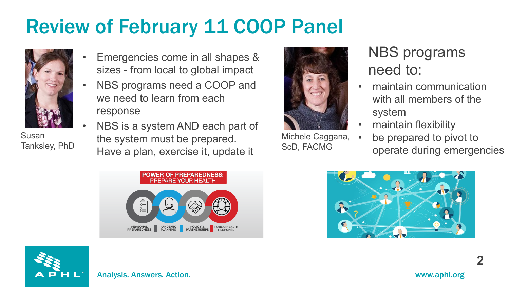## Review of February 11 COOP Panel



Susan Tanksley, PhD

- Emergencies come in all shapes & sizes - from local to global impact
- NBS programs need a COOP and we need to learn from each response
- NBS is a system AND each part of the system must be prepared. Have a plan, exercise it, update it



Michele Caggana, ScD, FACMG

## NBS programs need to:

- maintain communication with all members of the system
- maintain flexibility
	- be prepared to pivot to operate during emergencies







**2**